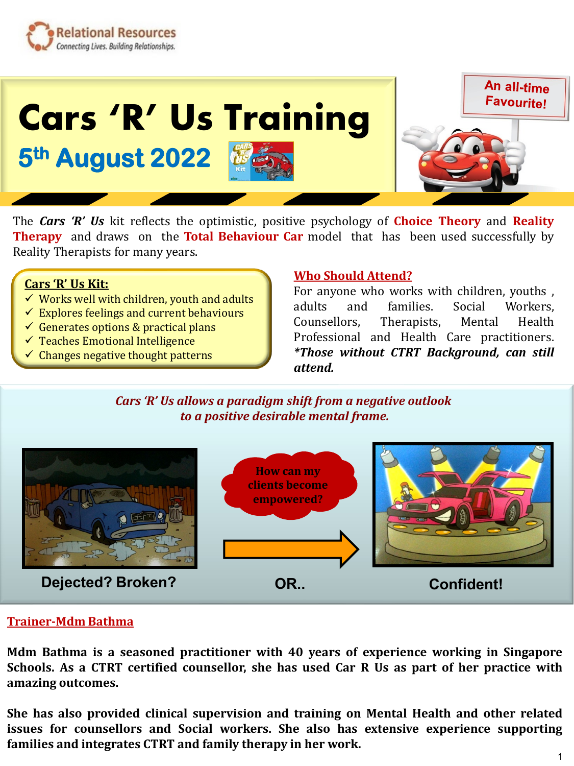



The *Cars 'R' Us* kit reflects the optimistic, positive psychology of **Choice Theory** and **Reality Therapy** and draws on the **Total Behaviour Car** model that has been used successfully by Reality Therapists for many years.

## **Cars 'R' Us Kit:**

- ✓ Works well with children, youth and adults
- $\checkmark$  Explores feelings and current behaviours
- $\checkmark$  Generates options & practical plans
- ✓ Teaches Emotional Intelligence
- $\checkmark$  Changes negative thought patterns

## **Who Should Attend?**

For anyone who works with children, youths , adults and families. Social Workers, Counsellors, Therapists, Mental Health Professional and Health Care practitioners. *\*Those without CTRT Background, can still attend.*

*Cars 'R' Us allows a paradigm shift from a negative outlook to a positive desirable mental frame.*



## **Trainer-Mdm Bathma**

**Mdm Bathma is a seasoned practitioner with 40 years of experience working in Singapore Schools. As a CTRT certified counsellor, she has used Car R Us as part of her practice with amazing outcomes.**

**She has also provided clinical supervision and training on Mental Health and other related issues for counsellors and Social workers. She also has extensive experience supporting families and integrates CTRT and family therapy in her work.**